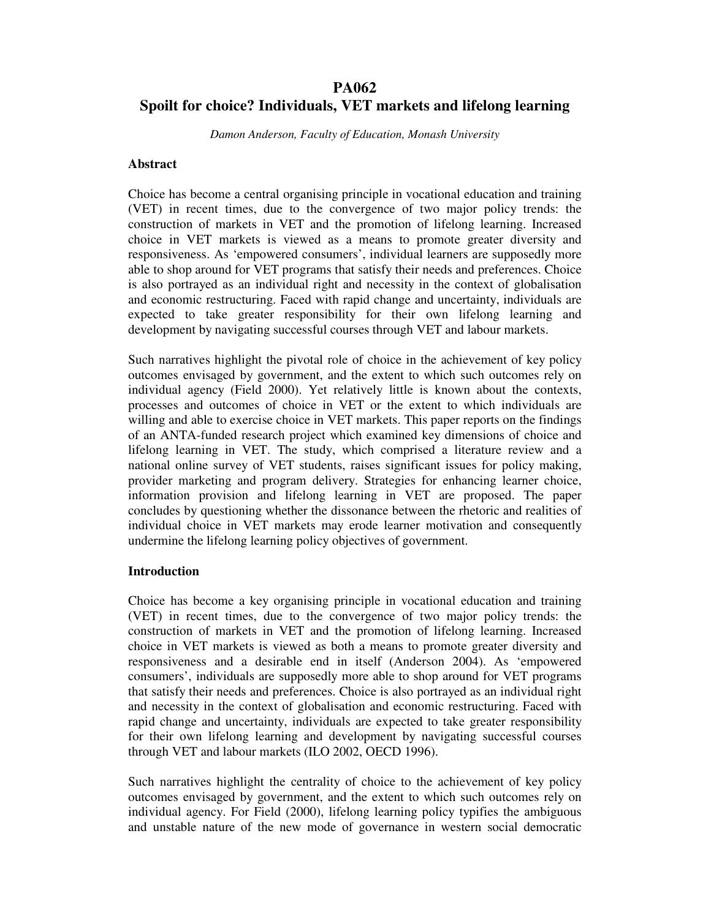# **PA062 Spoilt for choice? Individuals, VET markets and lifelong learning**

*Damon Anderson, Faculty of Education, Monash University*

## **Abstract**

Choice has become a central organising principle in vocational education and training (VET) in recent times, due to the convergence of two major policy trends: the construction of markets in VET and the promotion of lifelong learning. Increased choice in VET markets is viewed as a means to promote greater diversity and responsiveness. As 'empowered consumers', individual learners are supposedly more able to shop around for VET programs that satisfy their needs and preferences. Choice is also portrayed as an individual right and necessity in the context of globalisation and economic restructuring. Faced with rapid change and uncertainty, individuals are expected to take greater responsibility for their own lifelong learning and development by navigating successful courses through VET and labour markets.

Such narratives highlight the pivotal role of choice in the achievement of key policy outcomes envisaged by government, and the extent to which such outcomes rely on individual agency (Field 2000). Yet relatively little is known about the contexts, processes and outcomes of choice in VET or the extent to which individuals are willing and able to exercise choice in VET markets. This paper reports on the findings of an ANTA-funded research project which examined key dimensions of choice and lifelong learning in VET. The study, which comprised a literature review and a national online survey of VET students, raises significant issues for policy making, provider marketing and program delivery. Strategies for enhancing learner choice, information provision and lifelong learning in VET are proposed. The paper concludes by questioning whether the dissonance between the rhetoric and realities of individual choice in VET markets may erode learner motivation and consequently undermine the lifelong learning policy objectives of government.

#### **Introduction**

Choice has become a key organising principle in vocational education and training (VET) in recent times, due to the convergence of two major policy trends: the construction of markets in VET and the promotion of lifelong learning. Increased choice in VET markets is viewed as both a means to promote greater diversity and responsiveness and a desirable end in itself (Anderson 2004). As 'empowered consumers', individuals are supposedly more able to shop around for VET programs that satisfy their needs and preferences. Choice is also portrayed as an individual right and necessity in the context of globalisation and economic restructuring. Faced with rapid change and uncertainty, individuals are expected to take greater responsibility for their own lifelong learning and development by navigating successful courses through VET and labour markets (ILO 2002, OECD 1996).

Such narratives highlight the centrality of choice to the achievement of key policy outcomes envisaged by government, and the extent to which such outcomes rely on individual agency. For Field (2000), lifelong learning policy typifies the ambiguous and unstable nature of the new mode of governance in western social democratic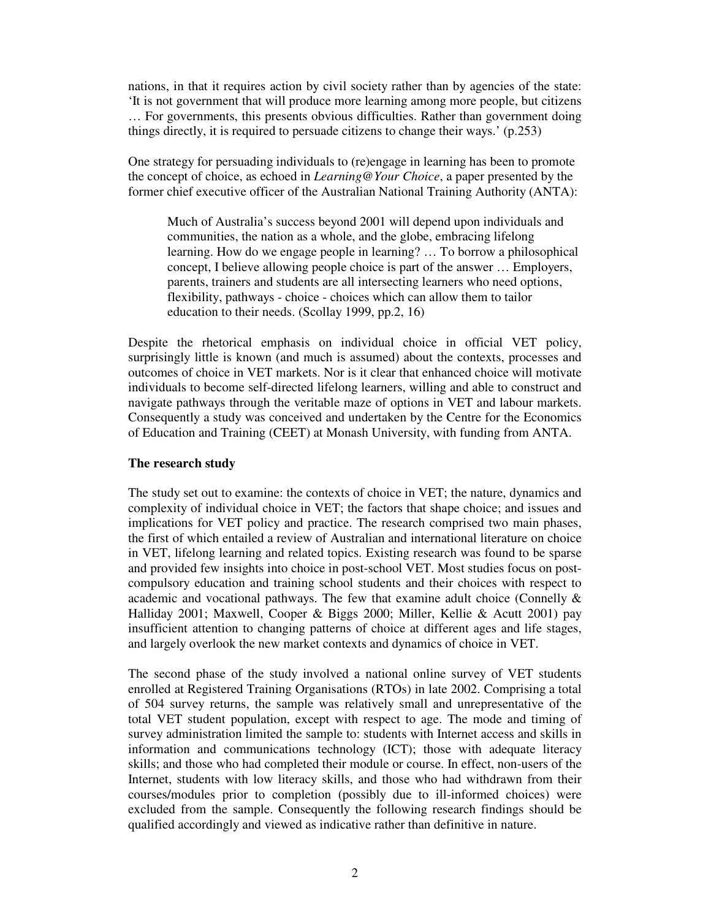nations, in that it requires action by civil society rather than by agencies of the state: 'It is not government that will produce more learning among more people, but citizens … For governments, this presents obvious difficulties. Rather than government doing things directly, it is required to persuade citizens to change their ways.' (p.253)

One strategy for persuading individuals to (re)engage in learning has been to promote the concept of choice, as echoed in *Learning@Your Choice*, a paper presented by the former chief executive officer of the Australian National Training Authority (ANTA):

Much of Australia's success beyond 2001 will depend upon individuals and communities, the nation as a whole, and the globe, embracing lifelong learning. How do we engage people in learning? … To borrow a philosophical concept, I believe allowing people choice is part of the answer … Employers, parents, trainers and students are all intersecting learners who need options, flexibility, pathways - choice - choices which can allow them to tailor education to their needs. (Scollay 1999, pp.2, 16)

Despite the rhetorical emphasis on individual choice in official VET policy, surprisingly little is known (and much is assumed) about the contexts, processes and outcomes of choice in VET markets. Nor is it clear that enhanced choice will motivate individuals to become self-directed lifelong learners, willing and able to construct and navigate pathways through the veritable maze of options in VET and labour markets. Consequently a study was conceived and undertaken by the Centre for the Economics of Education and Training (CEET) at Monash University, with funding from ANTA.

#### **The research study**

The study set out to examine: the contexts of choice in VET; the nature, dynamics and complexity of individual choice in VET; the factors that shape choice; and issues and implications for VET policy and practice. The research comprised two main phases, the first of which entailed a review of Australian and international literature on choice in VET, lifelong learning and related topics. Existing research was found to be sparse and provided few insights into choice in post-school VET. Most studies focus on postcompulsory education and training school students and their choices with respect to academic and vocational pathways. The few that examine adult choice (Connelly  $\&$ Halliday 2001; Maxwell, Cooper & Biggs 2000; Miller, Kellie & Acutt 2001) pay insufficient attention to changing patterns of choice at different ages and life stages, and largely overlook the new market contexts and dynamics of choice in VET.

The second phase of the study involved a national online survey of VET students enrolled at Registered Training Organisations (RTOs) in late 2002. Comprising a total of 504 survey returns, the sample was relatively small and unrepresentative of the total VET student population, except with respect to age. The mode and timing of survey administration limited the sample to: students with Internet access and skills in information and communications technology (ICT); those with adequate literacy skills; and those who had completed their module or course. In effect, non-users of the Internet, students with low literacy skills, and those who had withdrawn from their courses/modules prior to completion (possibly due to ill-informed choices) were excluded from the sample. Consequently the following research findings should be qualified accordingly and viewed as indicative rather than definitive in nature.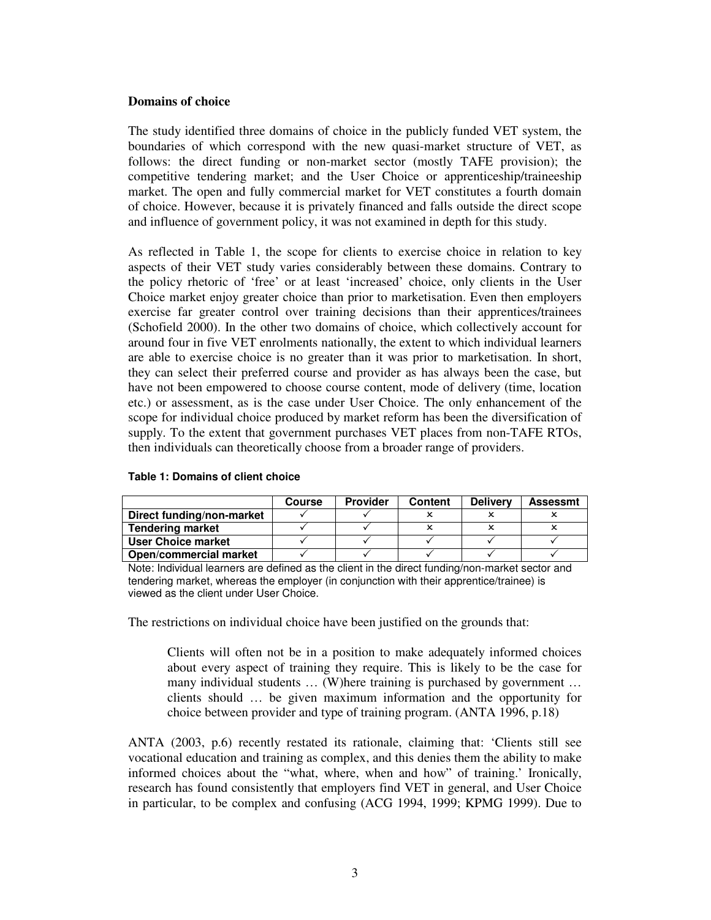#### **Domains of choice**

The study identified three domains of choice in the publicly funded VET system, the boundaries of which correspond with the new quasi-market structure of VET, as follows: the direct funding or non-market sector (mostly TAFE provision); the competitive tendering market; and the User Choice or apprenticeship/traineeship market. The open and fully commercial market for VET constitutes a fourth domain of choice. However, because it is privately financed and falls outside the direct scope and influence of government policy, it was not examined in depth for this study.

As reflected in Table 1, the scope for clients to exercise choice in relation to key aspects of their VET study varies considerably between these domains. Contrary to the policy rhetoric of 'free' or at least 'increased' choice, only clients in the User Choice market enjoy greater choice than prior to marketisation. Even then employers exercise far greater control over training decisions than their apprentices/trainees (Schofield 2000). In the other two domains of choice, which collectively account for around four in five VET enrolments nationally, the extent to which individual learners are able to exercise choice is no greater than it was prior to marketisation. In short, they can select their preferred course and provider as has always been the case, but have not been empowered to choose course content, mode of delivery (time, location etc.) or assessment, as is the case under User Choice. The only enhancement of the scope for individual choice produced by market reform has been the diversification of supply. To the extent that government purchases VET places from non-TAFE RTOs, then individuals can theoretically choose from a broader range of providers.

|                               | Course | <b>Provider</b> | Content | <b>Delivery</b> | <b>Assessmt</b> |
|-------------------------------|--------|-----------------|---------|-----------------|-----------------|
| Direct funding/non-market     |        |                 |         |                 |                 |
| <b>Tendering market</b>       |        |                 |         |                 |                 |
| User Choice market            |        |                 |         |                 |                 |
| <b>Open/commercial market</b> |        |                 |         |                 |                 |

#### **Table 1: Domains of client choice**

Note: Individual learners are defined as the client in the direct funding/non-market sector and tendering market, whereas the employer (in conjunction with their apprentice/trainee) is viewed as the client under User Choice.

The restrictions on individual choice have been justified on the grounds that:

Clients will often not be in a position to make adequately informed choices about every aspect of training they require. This is likely to be the case for many individual students ... (W) here training is purchased by government ... clients should … be given maximum information and the opportunity for choice between provider and type of training program. (ANTA 1996, p.18)

ANTA (2003, p.6) recently restated its rationale, claiming that: 'Clients still see vocational education and training as complex, and this denies them the ability to make informed choices about the "what, where, when and how" of training.' Ironically, research has found consistently that employers find VET in general, and User Choice in particular, to be complex and confusing (ACG 1994, 1999; KPMG 1999). Due to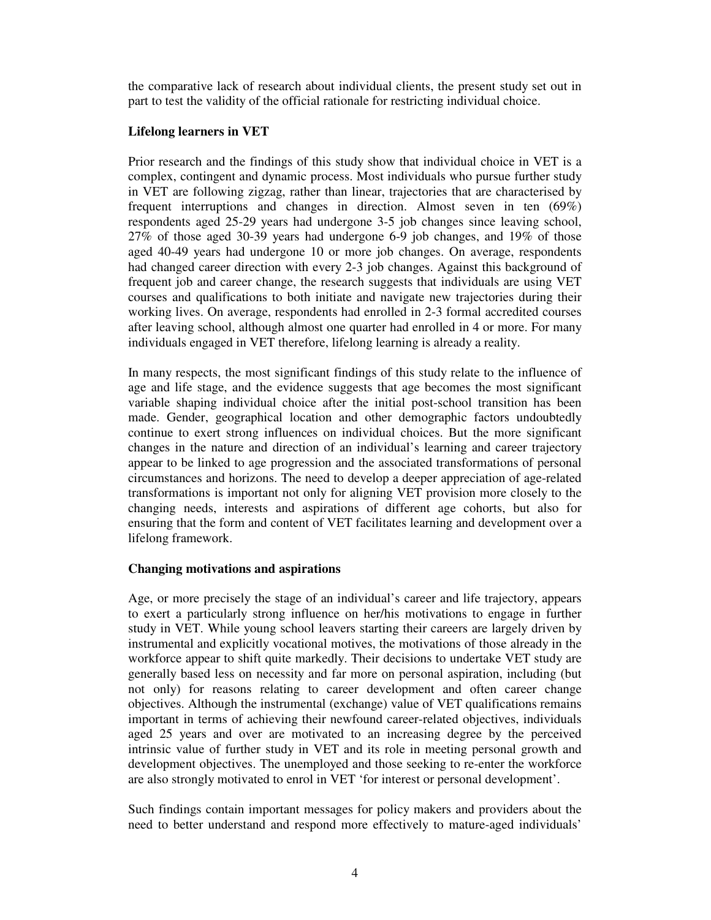the comparative lack of research about individual clients, the present study set out in part to test the validity of the official rationale for restricting individual choice.

# **Lifelong learners in VET**

Prior research and the findings of this study show that individual choice in VET is a complex, contingent and dynamic process. Most individuals who pursue further study in VET are following zigzag, rather than linear, trajectories that are characterised by frequent interruptions and changes in direction. Almost seven in ten (69%) respondents aged 25-29 years had undergone 3-5 job changes since leaving school, 27% of those aged 30-39 years had undergone 6-9 job changes, and 19% of those aged 40-49 years had undergone 10 or more job changes. On average, respondents had changed career direction with every 2-3 job changes. Against this background of frequent job and career change, the research suggests that individuals are using VET courses and qualifications to both initiate and navigate new trajectories during their working lives. On average, respondents had enrolled in 2-3 formal accredited courses after leaving school, although almost one quarter had enrolled in 4 or more. For many individuals engaged in VET therefore, lifelong learning is already a reality.

In many respects, the most significant findings of this study relate to the influence of age and life stage, and the evidence suggests that age becomes the most significant variable shaping individual choice after the initial post-school transition has been made. Gender, geographical location and other demographic factors undoubtedly continue to exert strong influences on individual choices. But the more significant changes in the nature and direction of an individual's learning and career trajectory appear to be linked to age progression and the associated transformations of personal circumstances and horizons. The need to develop a deeper appreciation of age-related transformations is important not only for aligning VET provision more closely to the changing needs, interests and aspirations of different age cohorts, but also for ensuring that the form and content of VET facilitates learning and development over a lifelong framework.

# **Changing motivations and aspirations**

Age, or more precisely the stage of an individual's career and life trajectory, appears to exert a particularly strong influence on her/his motivations to engage in further study in VET. While young school leavers starting their careers are largely driven by instrumental and explicitly vocational motives, the motivations of those already in the workforce appear to shift quite markedly. Their decisions to undertake VET study are generally based less on necessity and far more on personal aspiration, including (but not only) for reasons relating to career development and often career change objectives. Although the instrumental (exchange) value of VET qualifications remains important in terms of achieving their newfound career-related objectives, individuals aged 25 years and over are motivated to an increasing degree by the perceived intrinsic value of further study in VET and its role in meeting personal growth and development objectives. The unemployed and those seeking to re-enter the workforce are also strongly motivated to enrol in VET 'for interest or personal development'.

Such findings contain important messages for policy makers and providers about the need to better understand and respond more effectively to mature-aged individuals'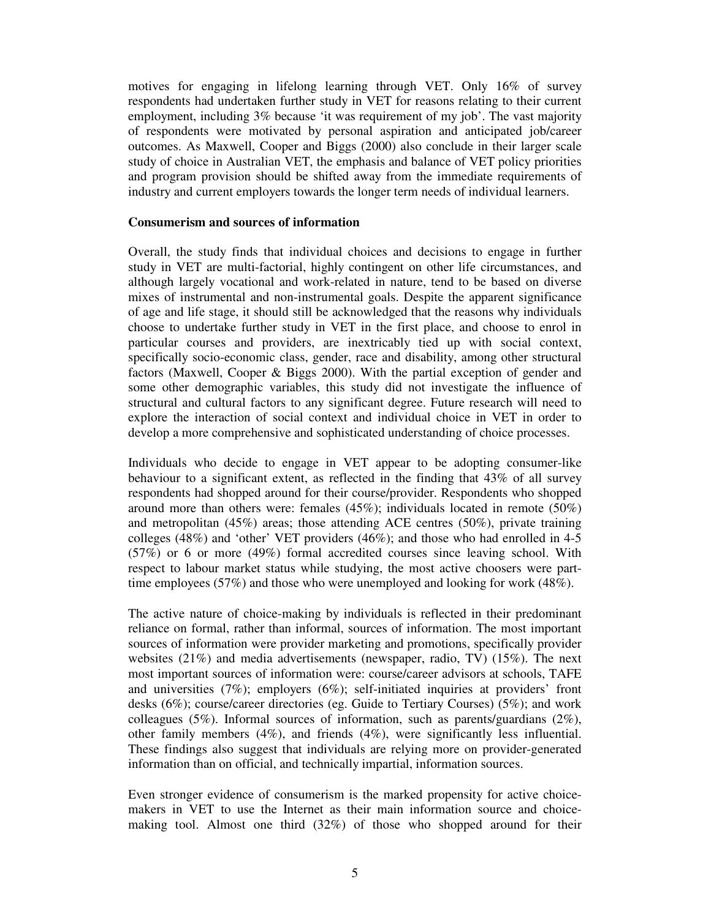motives for engaging in lifelong learning through VET. Only 16% of survey respondents had undertaken further study in VET for reasons relating to their current employment, including 3% because 'it was requirement of my job'. The vast majority of respondents were motivated by personal aspiration and anticipated job/career outcomes. As Maxwell, Cooper and Biggs (2000) also conclude in their larger scale study of choice in Australian VET, the emphasis and balance of VET policy priorities and program provision should be shifted away from the immediate requirements of industry and current employers towards the longer term needs of individual learners.

#### **Consumerism and sources of information**

Overall, the study finds that individual choices and decisions to engage in further study in VET are multi-factorial, highly contingent on other life circumstances, and although largely vocational and work-related in nature, tend to be based on diverse mixes of instrumental and non-instrumental goals. Despite the apparent significance of age and life stage, it should still be acknowledged that the reasons why individuals choose to undertake further study in VET in the first place, and choose to enrol in particular courses and providers, are inextricably tied up with social context, specifically socio-economic class, gender, race and disability, among other structural factors (Maxwell, Cooper & Biggs 2000). With the partial exception of gender and some other demographic variables, this study did not investigate the influence of structural and cultural factors to any significant degree. Future research will need to explore the interaction of social context and individual choice in VET in order to develop a more comprehensive and sophisticated understanding of choice processes.

Individuals who decide to engage in VET appear to be adopting consumer-like behaviour to a significant extent, as reflected in the finding that 43% of all survey respondents had shopped around for their course/provider. Respondents who shopped around more than others were: females  $(45\%)$ ; individuals located in remote  $(50\%)$ and metropolitan (45%) areas; those attending ACE centres (50%), private training colleges (48%) and 'other' VET providers (46%); and those who had enrolled in 4-5 (57%) or 6 or more (49%) formal accredited courses since leaving school. With respect to labour market status while studying, the most active choosers were parttime employees (57%) and those who were unemployed and looking for work (48%).

The active nature of choice-making by individuals is reflected in their predominant reliance on formal, rather than informal, sources of information. The most important sources of information were provider marketing and promotions, specifically provider websites (21%) and media advertisements (newspaper, radio, TV) (15%). The next most important sources of information were: course/career advisors at schools, TAFE and universities  $(7\%)$ ; employers  $(6\%)$ ; self-initiated inquiries at providers' front desks (6%); course/career directories (eg. Guide to Tertiary Courses) (5%); and work colleagues (5%). Informal sources of information, such as parents/guardians (2%), other family members (4%), and friends (4%), were significantly less influential. These findings also suggest that individuals are relying more on provider-generated information than on official, and technically impartial, information sources.

Even stronger evidence of consumerism is the marked propensity for active choicemakers in VET to use the Internet as their main information source and choicemaking tool. Almost one third (32%) of those who shopped around for their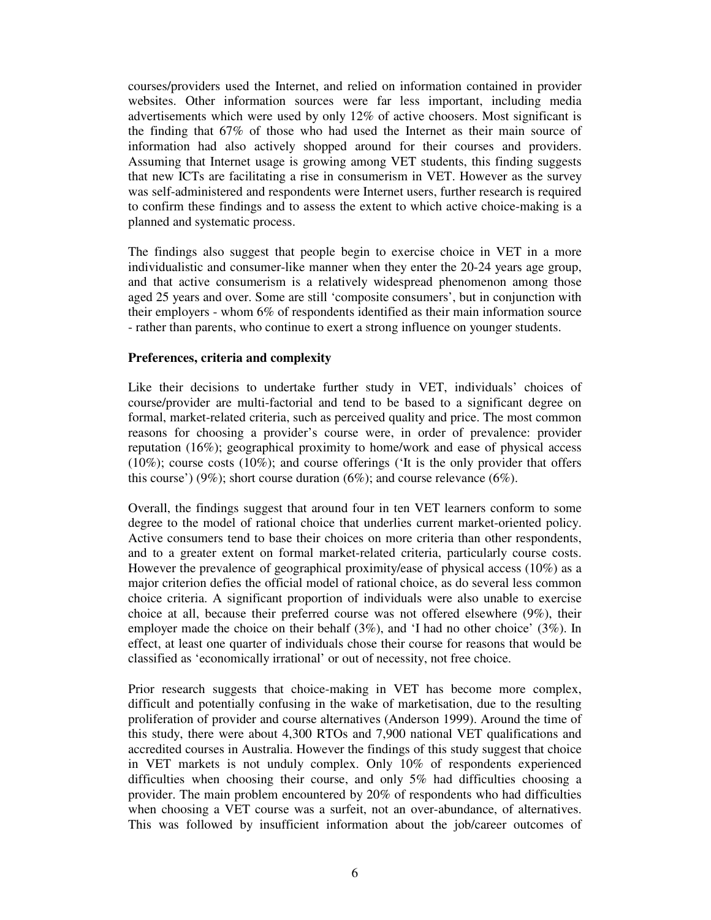courses/providers used the Internet, and relied on information contained in provider websites. Other information sources were far less important, including media advertisements which were used by only 12% of active choosers. Most significant is the finding that 67% of those who had used the Internet as their main source of information had also actively shopped around for their courses and providers. Assuming that Internet usage is growing among VET students, this finding suggests that new ICTs are facilitating a rise in consumerism in VET. However as the survey was self-administered and respondents were Internet users, further research is required to confirm these findings and to assess the extent to which active choice-making is a planned and systematic process.

The findings also suggest that people begin to exercise choice in VET in a more individualistic and consumer-like manner when they enter the 20-24 years age group, and that active consumerism is a relatively widespread phenomenon among those aged 25 years and over. Some are still 'composite consumers', but in conjunction with their employers - whom 6% of respondents identified as their main information source - rather than parents, who continue to exert a strong influence on younger students.

### **Preferences, criteria and complexity**

Like their decisions to undertake further study in VET, individuals' choices of course/provider are multi-factorial and tend to be based to a significant degree on formal, market-related criteria, such as perceived quality and price. The most common reasons for choosing a provider's course were, in order of prevalence: provider reputation (16%); geographical proximity to home/work and ease of physical access  $(10\%)$ ; course costs  $(10\%)$ ; and course offerings ('It is the only provider that offers this course') (9%); short course duration (6%); and course relevance (6%).

Overall, the findings suggest that around four in ten VET learners conform to some degree to the model of rational choice that underlies current market-oriented policy. Active consumers tend to base their choices on more criteria than other respondents, and to a greater extent on formal market-related criteria, particularly course costs. However the prevalence of geographical proximity/ease of physical access (10%) as a major criterion defies the official model of rational choice, as do several less common choice criteria. A significant proportion of individuals were also unable to exercise choice at all, because their preferred course was not offered elsewhere (9%), their employer made the choice on their behalf (3%), and 'I had no other choice' (3%). In effect, at least one quarter of individuals chose their course for reasons that would be classified as 'economically irrational' or out of necessity, not free choice.

Prior research suggests that choice-making in VET has become more complex, difficult and potentially confusing in the wake of marketisation, due to the resulting proliferation of provider and course alternatives (Anderson 1999). Around the time of this study, there were about 4,300 RTOs and 7,900 national VET qualifications and accredited courses in Australia. However the findings of this study suggest that choice in VET markets is not unduly complex. Only 10% of respondents experienced difficulties when choosing their course, and only 5% had difficulties choosing a provider. The main problem encountered by 20% of respondents who had difficulties when choosing a VET course was a surfeit, not an over-abundance, of alternatives. This was followed by insufficient information about the job/career outcomes of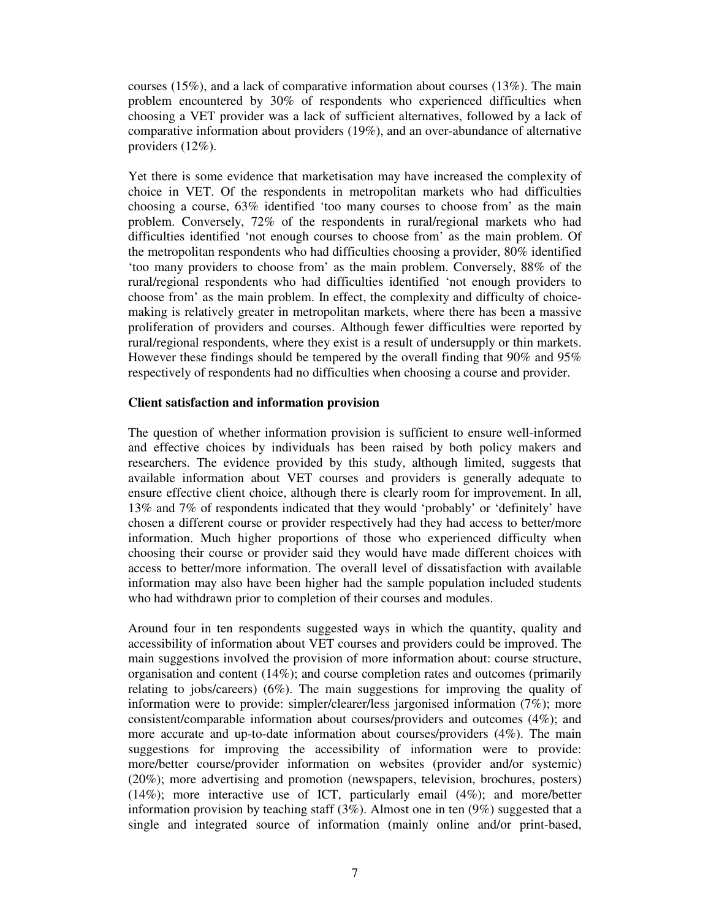courses (15%), and a lack of comparative information about courses (13%). The main problem encountered by 30% of respondents who experienced difficulties when choosing a VET provider was a lack of sufficient alternatives, followed by a lack of comparative information about providers (19%), and an over-abundance of alternative providers (12%).

Yet there is some evidence that marketisation may have increased the complexity of choice in VET. Of the respondents in metropolitan markets who had difficulties choosing a course, 63% identified 'too many courses to choose from' as the main problem. Conversely, 72% of the respondents in rural/regional markets who had difficulties identified 'not enough courses to choose from' as the main problem. Of the metropolitan respondents who had difficulties choosing a provider, 80% identified 'too many providers to choose from' as the main problem. Conversely, 88% of the rural/regional respondents who had difficulties identified 'not enough providers to choose from' as the main problem. In effect, the complexity and difficulty of choicemaking is relatively greater in metropolitan markets, where there has been a massive proliferation of providers and courses. Although fewer difficulties were reported by rural/regional respondents, where they exist is a result of undersupply or thin markets. However these findings should be tempered by the overall finding that 90% and 95% respectively of respondents had no difficulties when choosing a course and provider.

### **Client satisfaction and information provision**

The question of whether information provision is sufficient to ensure well-informed and effective choices by individuals has been raised by both policy makers and researchers. The evidence provided by this study, although limited, suggests that available information about VET courses and providers is generally adequate to ensure effective client choice, although there is clearly room for improvement. In all, 13% and 7% of respondents indicated that they would 'probably' or 'definitely' have chosen a different course or provider respectively had they had access to better/more information. Much higher proportions of those who experienced difficulty when choosing their course or provider said they would have made different choices with access to better/more information. The overall level of dissatisfaction with available information may also have been higher had the sample population included students who had withdrawn prior to completion of their courses and modules.

Around four in ten respondents suggested ways in which the quantity, quality and accessibility of information about VET courses and providers could be improved. The main suggestions involved the provision of more information about: course structure, organisation and content (14%); and course completion rates and outcomes (primarily relating to jobs/careers) (6%). The main suggestions for improving the quality of information were to provide: simpler/clearer/less jargonised information (7%); more consistent/comparable information about courses/providers and outcomes (4%); and more accurate and up-to-date information about courses/providers (4%). The main suggestions for improving the accessibility of information were to provide: more/better course/provider information on websites (provider and/or systemic) (20%); more advertising and promotion (newspapers, television, brochures, posters) (14%); more interactive use of ICT, particularly email (4%); and more/better information provision by teaching staff  $(3\%)$ . Almost one in ten  $(9\%)$  suggested that a single and integrated source of information (mainly online and/or print-based,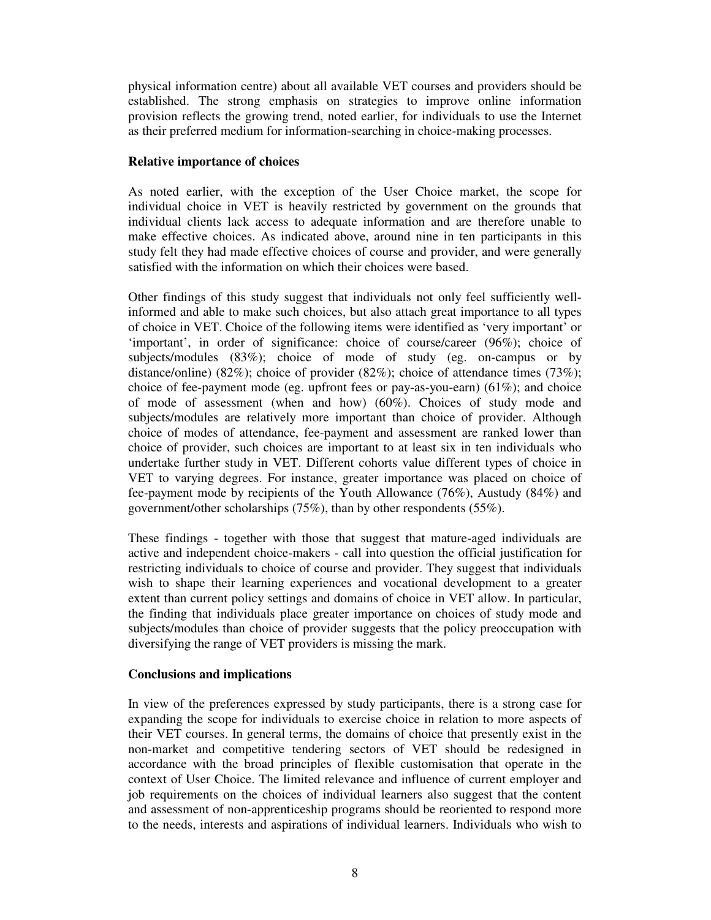physical information centre) about all available VET courses and providers should be established. The strong emphasis on strategies to improve online information provision reflects the growing trend, noted earlier, for individuals to use the Internet as their preferred medium for information-searching in choice-making processes.

# **Relative importance of choices**

As noted earlier, with the exception of the User Choice market, the scope for individual choice in VET is heavily restricted by government on the grounds that individual clients lack access to adequate information and are therefore unable to make effective choices. As indicated above, around nine in ten participants in this study felt they had made effective choices of course and provider, and were generally satisfied with the information on which their choices were based.

Other findings of this study suggest that individuals not only feel sufficiently wellinformed and able to make such choices, but also attach great importance to all types of choice in VET. Choice of the following items were identified as 'very important' or 'important', in order of significance: choice of course/career (96%); choice of subjects/modules (83%); choice of mode of study (eg. on-campus or by distance/online) (82%); choice of provider (82%); choice of attendance times (73%); choice of fee-payment mode (eg. upfront fees or pay-as-you-earn) (61%); and choice of mode of assessment (when and how) (60%). Choices of study mode and subjects/modules are relatively more important than choice of provider. Although choice of modes of attendance, fee-payment and assessment are ranked lower than choice of provider, such choices are important to at least six in ten individuals who undertake further study in VET. Different cohorts value different types of choice in VET to varying degrees. For instance, greater importance was placed on choice of fee-payment mode by recipients of the Youth Allowance (76%), Austudy (84%) and government/other scholarships (75%), than by other respondents (55%).

These findings - together with those that suggest that mature-aged individuals are active and independent choice-makers - call into question the official justification for restricting individuals to choice of course and provider. They suggest that individuals wish to shape their learning experiences and vocational development to a greater extent than current policy settings and domains of choice in VET allow. In particular, the finding that individuals place greater importance on choices of study mode and subjects/modules than choice of provider suggests that the policy preoccupation with diversifying the range of VET providers is missing the mark.

# **Conclusions and implications**

In view of the preferences expressed by study participants, there is a strong case for expanding the scope for individuals to exercise choice in relation to more aspects of their VET courses. In general terms, the domains of choice that presently exist in the non-market and competitive tendering sectors of VET should be redesigned in accordance with the broad principles of flexible customisation that operate in the context of User Choice. The limited relevance and influence of current employer and job requirements on the choices of individual learners also suggest that the content and assessment of non-apprenticeship programs should be reoriented to respond more to the needs, interests and aspirations of individual learners. Individuals who wish to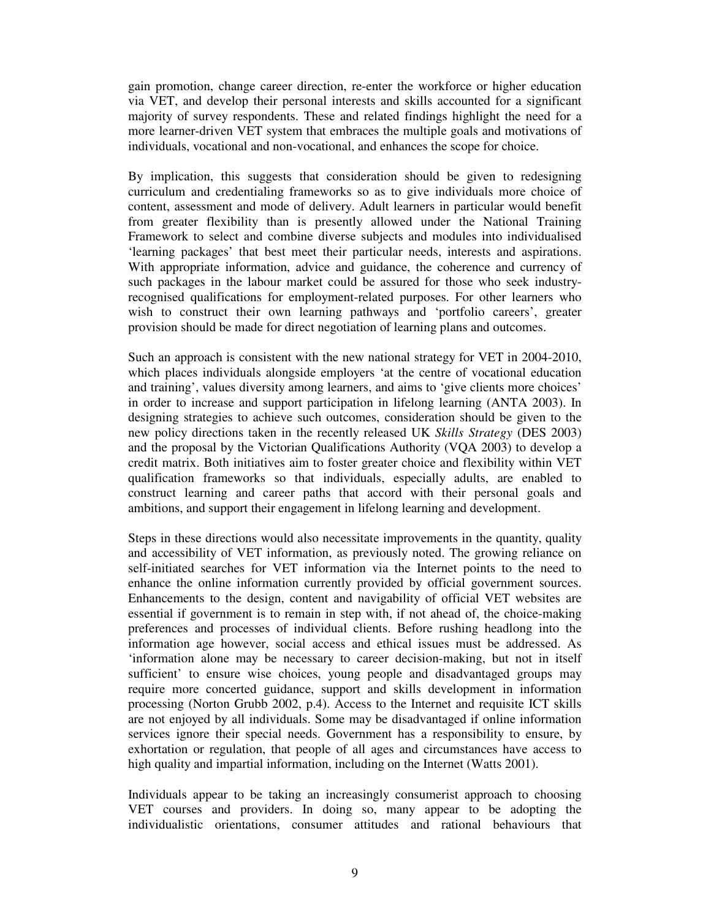gain promotion, change career direction, re-enter the workforce or higher education via VET, and develop their personal interests and skills accounted for a significant majority of survey respondents. These and related findings highlight the need for a more learner-driven VET system that embraces the multiple goals and motivations of individuals, vocational and non-vocational, and enhances the scope for choice.

By implication, this suggests that consideration should be given to redesigning curriculum and credentialing frameworks so as to give individuals more choice of content, assessment and mode of delivery. Adult learners in particular would benefit from greater flexibility than is presently allowed under the National Training Framework to select and combine diverse subjects and modules into individualised 'learning packages' that best meet their particular needs, interests and aspirations. With appropriate information, advice and guidance, the coherence and currency of such packages in the labour market could be assured for those who seek industryrecognised qualifications for employment-related purposes. For other learners who wish to construct their own learning pathways and 'portfolio careers', greater provision should be made for direct negotiation of learning plans and outcomes.

Such an approach is consistent with the new national strategy for VET in 2004-2010, which places individuals alongside employers 'at the centre of vocational education and training', values diversity among learners, and aims to 'give clients more choices' in order to increase and support participation in lifelong learning (ANTA 2003). In designing strategies to achieve such outcomes, consideration should be given to the new policy directions taken in the recently released UK *Skills Strategy* (DES 2003) and the proposal by the Victorian Qualifications Authority (VQA 2003) to develop a credit matrix. Both initiatives aim to foster greater choice and flexibility within VET qualification frameworks so that individuals, especially adults, are enabled to construct learning and career paths that accord with their personal goals and ambitions, and support their engagement in lifelong learning and development.

Steps in these directions would also necessitate improvements in the quantity, quality and accessibility of VET information, as previously noted. The growing reliance on self-initiated searches for VET information via the Internet points to the need to enhance the online information currently provided by official government sources. Enhancements to the design, content and navigability of official VET websites are essential if government is to remain in step with, if not ahead of, the choice-making preferences and processes of individual clients. Before rushing headlong into the information age however, social access and ethical issues must be addressed. As 'information alone may be necessary to career decision-making, but not in itself sufficient' to ensure wise choices, young people and disadvantaged groups may require more concerted guidance, support and skills development in information processing (Norton Grubb 2002, p.4). Access to the Internet and requisite ICT skills are not enjoyed by all individuals. Some may be disadvantaged if online information services ignore their special needs. Government has a responsibility to ensure, by exhortation or regulation, that people of all ages and circumstances have access to high quality and impartial information, including on the Internet (Watts 2001).

Individuals appear to be taking an increasingly consumerist approach to choosing VET courses and providers. In doing so, many appear to be adopting the individualistic orientations, consumer attitudes and rational behaviours that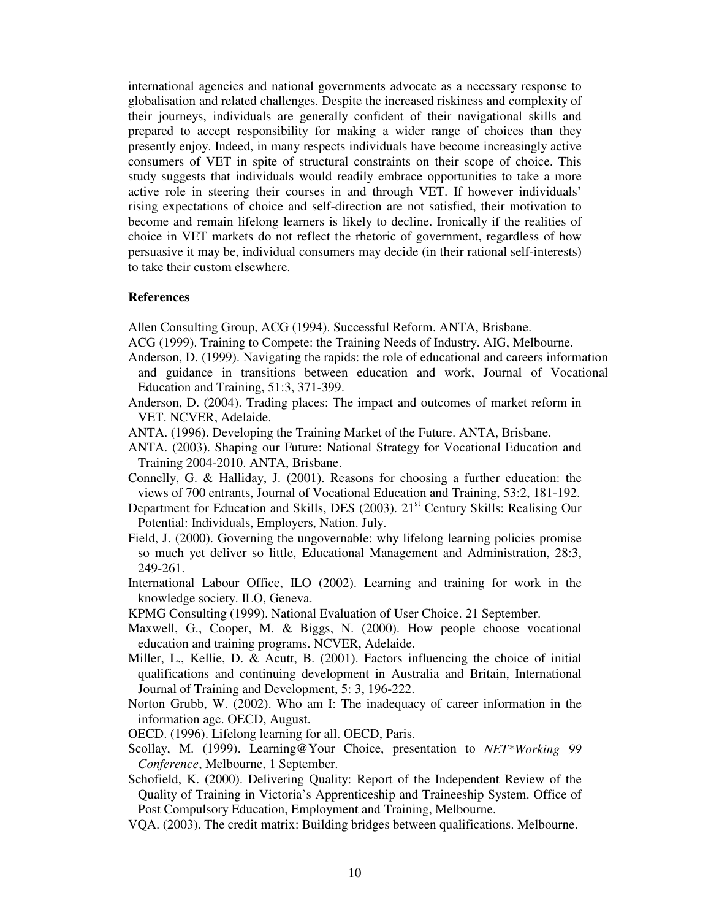international agencies and national governments advocate as a necessary response to globalisation and related challenges. Despite the increased riskiness and complexity of their journeys, individuals are generally confident of their navigational skills and prepared to accept responsibility for making a wider range of choices than they presently enjoy. Indeed, in many respects individuals have become increasingly active consumers of VET in spite of structural constraints on their scope of choice. This study suggests that individuals would readily embrace opportunities to take a more active role in steering their courses in and through VET. If however individuals' rising expectations of choice and self-direction are not satisfied, their motivation to become and remain lifelong learners is likely to decline. Ironically if the realities of choice in VET markets do not reflect the rhetoric of government, regardless of how persuasive it may be, individual consumers may decide (in their rational self-interests) to take their custom elsewhere.

#### **References**

Allen Consulting Group, ACG (1994). Successful Reform. ANTA, Brisbane.

- ACG (1999). Training to Compete: the Training Needs of Industry. AIG, Melbourne.
- Anderson, D. (1999). Navigating the rapids: the role of educational and careers information and guidance in transitions between education and work, Journal of Vocational Education and Training, 51:3, 371-399.
- Anderson, D. (2004). Trading places: The impact and outcomes of market reform in VET. NCVER, Adelaide.
- ANTA. (1996). Developing the Training Market of the Future. ANTA, Brisbane.
- ANTA. (2003). Shaping our Future: National Strategy for Vocational Education and Training 2004-2010. ANTA, Brisbane.
- Connelly, G. & Halliday, J. (2001). Reasons for choosing a further education: the views of 700 entrants, Journal of Vocational Education and Training, 53:2, 181-192.
- Department for Education and Skills, DES (2003). 21<sup>st</sup> Century Skills: Realising Our Potential: Individuals, Employers, Nation. July.
- Field, J. (2000). Governing the ungovernable: why lifelong learning policies promise so much yet deliver so little, Educational Management and Administration, 28:3, 249-261.
- International Labour Office, ILO (2002). Learning and training for work in the knowledge society. ILO, Geneva.
- KPMG Consulting (1999). National Evaluation of User Choice. 21 September.
- Maxwell, G., Cooper, M. & Biggs, N. (2000). How people choose vocational education and training programs. NCVER, Adelaide.
- Miller, L., Kellie, D. & Acutt, B. (2001). Factors influencing the choice of initial qualifications and continuing development in Australia and Britain, International Journal of Training and Development, 5: 3, 196-222.
- Norton Grubb, W. (2002). Who am I: The inadequacy of career information in the information age. OECD, August.
- OECD. (1996). Lifelong learning for all. OECD, Paris.
- Scollay, M. (1999). Learning@Your Choice, presentation to *NET\*Working 99 Conference*, Melbourne, 1 September.
- Schofield, K. (2000). Delivering Quality: Report of the Independent Review of the Quality of Training in Victoria's Apprenticeship and Traineeship System. Office of Post Compulsory Education, Employment and Training, Melbourne.
- VQA. (2003). The credit matrix: Building bridges between qualifications. Melbourne.